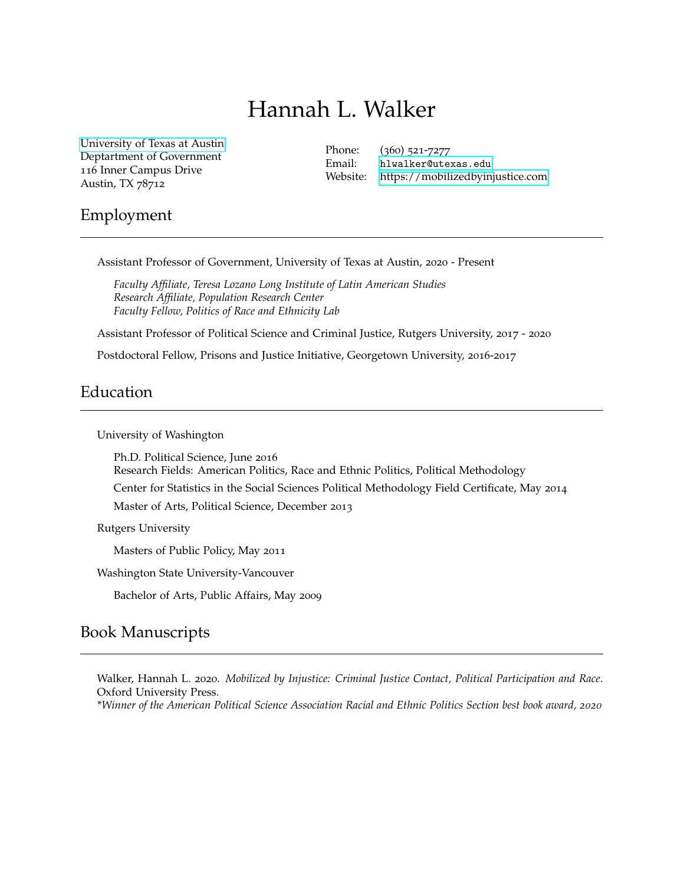# Hannah L. Walker

[University of Texas at Austin](https://prisonsandjustice.georgetown.edu) Deptartment of Government 116 Inner Campus Drive Austin, TX 78712

Phone: (360) 521-7277 Email: [hlwalker@utexas.edu](mailto:hlwalker@utexas.edu) Website:<https://mobilizedbyinjustice.com>

## Employment

Assistant Professor of Government, University of Texas at Austin, 2020 - Present

*Faculty Affiliate, Teresa Lozano Long Institute of Latin American Studies Research Affiliate, Population Research Center Faculty Fellow, Politics of Race and Ethnicity Lab*

Assistant Professor of Political Science and Criminal Justice, Rutgers University, 2017 - 2020

Postdoctoral Fellow, Prisons and Justice Initiative, Georgetown University, 2016-2017

# Education

University of Washington

Ph.D. Political Science, June 2016 Research Fields: American Politics, Race and Ethnic Politics, Political Methodology Center for Statistics in the Social Sciences Political Methodology Field Certificate, May 2014 Master of Arts, Political Science, December 2013

Rutgers University

Masters of Public Policy, May 2011

Washington State University-Vancouver

Bachelor of Arts, Public Affairs, May 2009

# Book Manuscripts

Walker, Hannah L. 2020. *Mobilized by Injustice: Criminal Justice Contact, Political Participation and Race*. Oxford University Press.

*\*Winner of the American Political Science Association Racial and Ethnic Politics Section best book award, 2020*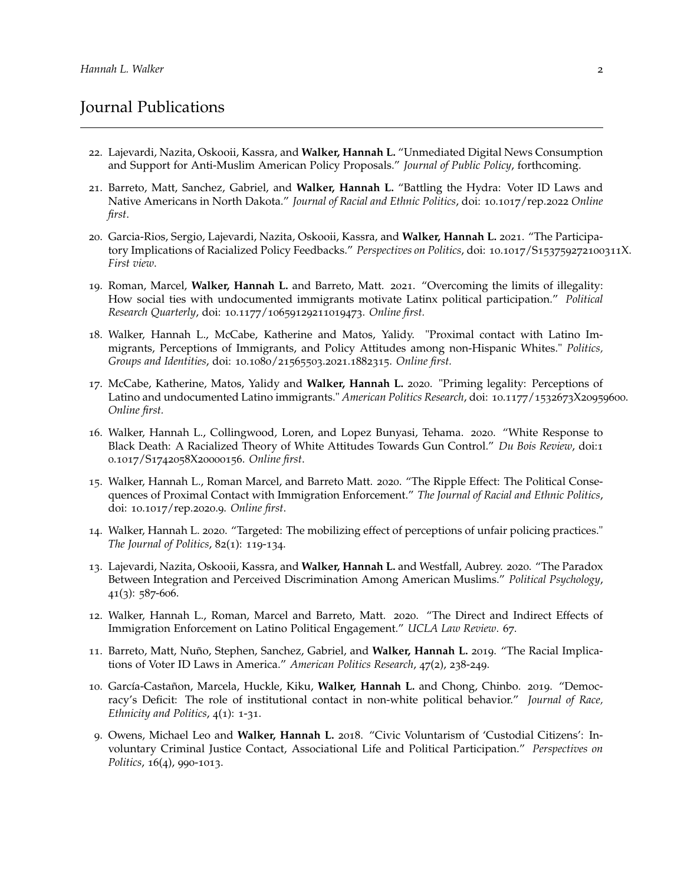# Journal Publications

- 22. Lajevardi, Nazita, Oskooii, Kassra, and **Walker, Hannah L.** "Unmediated Digital News Consumption and Support for Anti-Muslim American Policy Proposals." *Journal of Public Policy*, forthcoming.
- 21. Barreto, Matt, Sanchez, Gabriel, and **Walker, Hannah L.** "Battling the Hydra: Voter ID Laws and Native Americans in North Dakota." *Journal of Racial and Ethnic Politics*, doi: 10.1017/rep.2022 *Online first*.
- 20. Garcia-Rios, Sergio, Lajevardi, Nazita, Oskooii, Kassra, and **Walker, Hannah L.** 2021. "The Participatory Implications of Racialized Policy Feedbacks." *Perspectives on Politics*, doi: 10.1017/S153759272100311X. *First view*.
- 19. Roman, Marcel, **Walker, Hannah L.** and Barreto, Matt. 2021. "Overcoming the limits of illegality: How social ties with undocumented immigrants motivate Latinx political participation." *Political Research Quarterly*, doi: 10.1177/10659129211019473. *Online first.*
- 18. Walker, Hannah L., McCabe, Katherine and Matos, Yalidy. "Proximal contact with Latino Immigrants, Perceptions of Immigrants, and Policy Attitudes among non-Hispanic Whites." *Politics, Groups and Identities*, doi: 10.1080/21565503.2021.1882315. *Online first.*
- 17. McCabe, Katherine, Matos, Yalidy and **Walker, Hannah L.** 2020. "Priming legality: Perceptions of Latino and undocumented Latino immigrants." *American Politics Research*, doi: 10.1177/1532673X20959600. *Online first.*
- 16. Walker, Hannah L., Collingwood, Loren, and Lopez Bunyasi, Tehama. 2020. "White Response to Black Death: A Racialized Theory of White Attitudes Towards Gun Control." *Du Bois Review*, doi:1 0.1017/S1742058X20000156. *Online first*.
- 15. Walker, Hannah L., Roman Marcel, and Barreto Matt. 2020. "The Ripple Effect: The Political Consequences of Proximal Contact with Immigration Enforcement." *The Journal of Racial and Ethnic Politics*, doi: 10.1017/rep.2020.9. *Online first*.
- 14. Walker, Hannah L. 2020. "Targeted: The mobilizing effect of perceptions of unfair policing practices." *The Journal of Politics*, 82(1): 119-134.
- 13. Lajevardi, Nazita, Oskooii, Kassra, and **Walker, Hannah L.** and Westfall, Aubrey. 2020. "The Paradox Between Integration and Perceived Discrimination Among American Muslims." *Political Psychology*,  $41(3)$ : 587-606.
- 12. Walker, Hannah L., Roman, Marcel and Barreto, Matt. 2020. "The Direct and Indirect Effects of Immigration Enforcement on Latino Political Engagement." *UCLA Law Review*. 67.
- 11. Barreto, Matt, Nuño, Stephen, Sanchez, Gabriel, and **Walker, Hannah L.** 2019. "The Racial Implications of Voter ID Laws in America." *American Politics Research*, 47(2), 238-249.
- 10. García-Castañon, Marcela, Huckle, Kiku, **Walker, Hannah L.** and Chong, Chinbo. 2019. "Democracy's Deficit: The role of institutional contact in non-white political behavior." *Journal of Race, Ethnicity and Politics*, 4(1): 1-31.
- 9. Owens, Michael Leo and **Walker, Hannah L.** 2018. "Civic Voluntarism of 'Custodial Citizens': Involuntary Criminal Justice Contact, Associational Life and Political Participation." *Perspectives on Politics*, 16(4), 990-1013.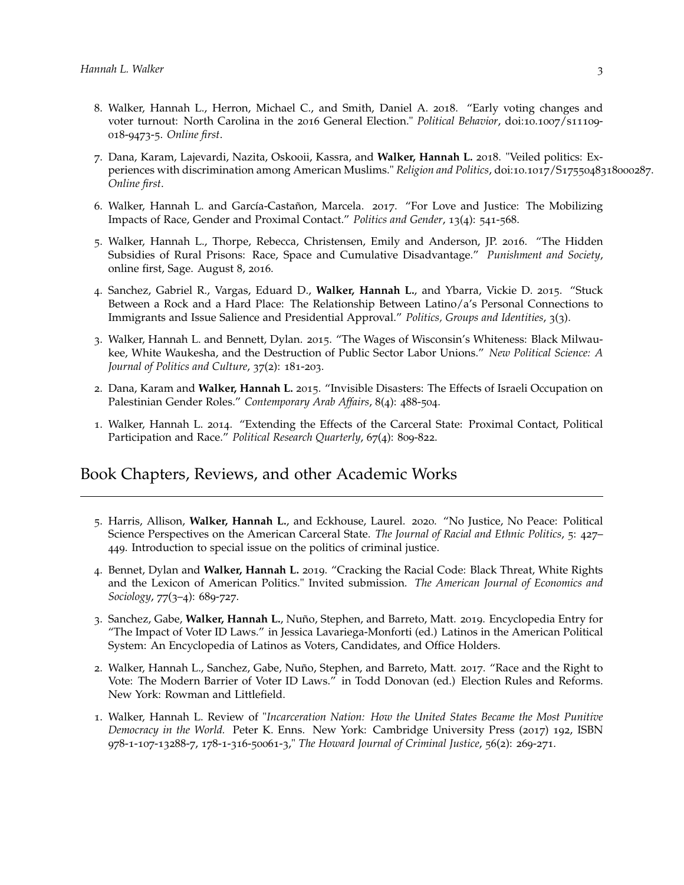- 8. Walker, Hannah L., Herron, Michael C., and Smith, Daniel A. 2018. "Early voting changes and voter turnout: North Carolina in the 2016 General Election." *Political Behavior*, doi:10.1007/s11109- 018-9473-5. *Online first*.
- 7. Dana, Karam, Lajevardi, Nazita, Oskooii, Kassra, and **Walker, Hannah L.** 2018. "Veiled politics: Experiences with discrimination among American Muslims." *Religion and Politics*, doi:10.1017/S1755048318000287. *Online first*.
- 6. Walker, Hannah L. and García-Castañon, Marcela. 2017. "For Love and Justice: The Mobilizing Impacts of Race, Gender and Proximal Contact." *Politics and Gender*, 13(4): 541-568.
- 5. Walker, Hannah L., Thorpe, Rebecca, Christensen, Emily and Anderson, JP. 2016. "The Hidden Subsidies of Rural Prisons: Race, Space and Cumulative Disadvantage." *Punishment and Society*, online first, Sage. August 8, 2016.
- 4. Sanchez, Gabriel R., Vargas, Eduard D., **Walker, Hannah L.**, and Ybarra, Vickie D. 2015. "Stuck Between a Rock and a Hard Place: The Relationship Between Latino/a's Personal Connections to Immigrants and Issue Salience and Presidential Approval." *Politics, Groups and Identities*, 3(3).
- 3. Walker, Hannah L. and Bennett, Dylan. 2015. "The Wages of Wisconsin's Whiteness: Black Milwaukee, White Waukesha, and the Destruction of Public Sector Labor Unions." *New Political Science: A Journal of Politics and Culture*, 37(2): 181-203.
- 2. Dana, Karam and **Walker, Hannah L.** 2015. "Invisible Disasters: The Effects of Israeli Occupation on Palestinian Gender Roles." *Contemporary Arab Affairs*, 8(4): 488-504.
- 1. Walker, Hannah L. 2014. "Extending the Effects of the Carceral State: Proximal Contact, Political Participation and Race." *Political Research Quarterly*, 67(4): 809-822.

# Book Chapters, Reviews, and other Academic Works

- 5. Harris, Allison, **Walker, Hannah L.**, and Eckhouse, Laurel. 2020. "No Justice, No Peace: Political Science Perspectives on the American Carceral State. *The Journal of Racial and Ethnic Politics*, 5: 427– 449. Introduction to special issue on the politics of criminal justice.
- 4. Bennet, Dylan and **Walker, Hannah L.** 2019. "Cracking the Racial Code: Black Threat, White Rights and the Lexicon of American Politics." Invited submission. *The American Journal of Economics and Sociology*, 77(3–4): 689-727.
- 3. Sanchez, Gabe, **Walker, Hannah L.**, Nuño, Stephen, and Barreto, Matt. 2019. Encyclopedia Entry for "The Impact of Voter ID Laws." in Jessica Lavariega-Monforti (ed.) Latinos in the American Political System: An Encyclopedia of Latinos as Voters, Candidates, and Office Holders.
- 2. Walker, Hannah L., Sanchez, Gabe, Nuño, Stephen, and Barreto, Matt. 2017. "Race and the Right to Vote: The Modern Barrier of Voter ID Laws." in Todd Donovan (ed.) Election Rules and Reforms. New York: Rowman and Littlefield.
- 1. Walker, Hannah L. Review of "*Incarceration Nation: How the United States Became the Most Punitive Democracy in the World.* Peter K. Enns. New York: Cambridge University Press (2017) 192, ISBN 978-1-107-13288-7, 178-1-316-50061-3," *The Howard Journal of Criminal Justice*, 56(2): 269-271.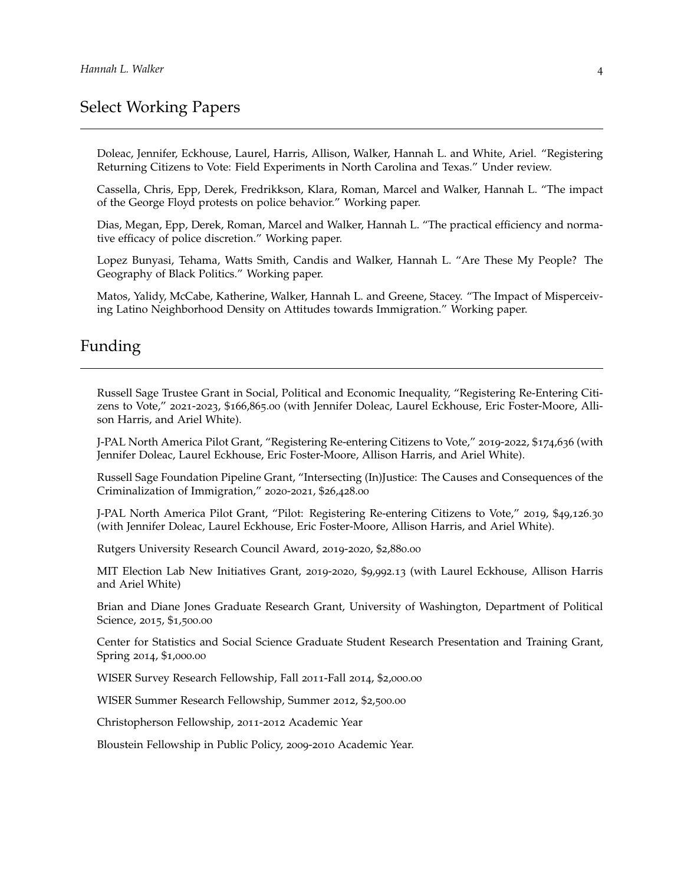# Select Working Papers

Doleac, Jennifer, Eckhouse, Laurel, Harris, Allison, Walker, Hannah L. and White, Ariel. "Registering Returning Citizens to Vote: Field Experiments in North Carolina and Texas." Under review.

Cassella, Chris, Epp, Derek, Fredrikkson, Klara, Roman, Marcel and Walker, Hannah L. "The impact of the George Floyd protests on police behavior." Working paper.

Dias, Megan, Epp, Derek, Roman, Marcel and Walker, Hannah L. "The practical efficiency and normative efficacy of police discretion." Working paper.

Lopez Bunyasi, Tehama, Watts Smith, Candis and Walker, Hannah L. "Are These My People? The Geography of Black Politics." Working paper.

Matos, Yalidy, McCabe, Katherine, Walker, Hannah L. and Greene, Stacey. "The Impact of Misperceiving Latino Neighborhood Density on Attitudes towards Immigration." Working paper.

# Funding

Russell Sage Trustee Grant in Social, Political and Economic Inequality, "Registering Re-Entering Citizens to Vote," 2021-2023, \$166,865.00 (with Jennifer Doleac, Laurel Eckhouse, Eric Foster-Moore, Allison Harris, and Ariel White).

J-PAL North America Pilot Grant, "Registering Re-entering Citizens to Vote," 2019-2022, \$174,636 (with Jennifer Doleac, Laurel Eckhouse, Eric Foster-Moore, Allison Harris, and Ariel White).

Russell Sage Foundation Pipeline Grant, "Intersecting (In)Justice: The Causes and Consequences of the Criminalization of Immigration," 2020-2021, \$26,428.00

J-PAL North America Pilot Grant, "Pilot: Registering Re-entering Citizens to Vote," 2019, \$49,126.30 (with Jennifer Doleac, Laurel Eckhouse, Eric Foster-Moore, Allison Harris, and Ariel White).

Rutgers University Research Council Award, 2019-2020, \$2,880.00

MIT Election Lab New Initiatives Grant, 2019-2020, \$9,992.13 (with Laurel Eckhouse, Allison Harris and Ariel White)

Brian and Diane Jones Graduate Research Grant, University of Washington, Department of Political Science, 2015, \$1,500.00

Center for Statistics and Social Science Graduate Student Research Presentation and Training Grant, Spring 2014, \$1,000.00

WISER Survey Research Fellowship, Fall 2011-Fall 2014, \$2,000.00

WISER Summer Research Fellowship, Summer 2012, \$2,500.00

Christopherson Fellowship, 2011-2012 Academic Year

Bloustein Fellowship in Public Policy, 2009-2010 Academic Year.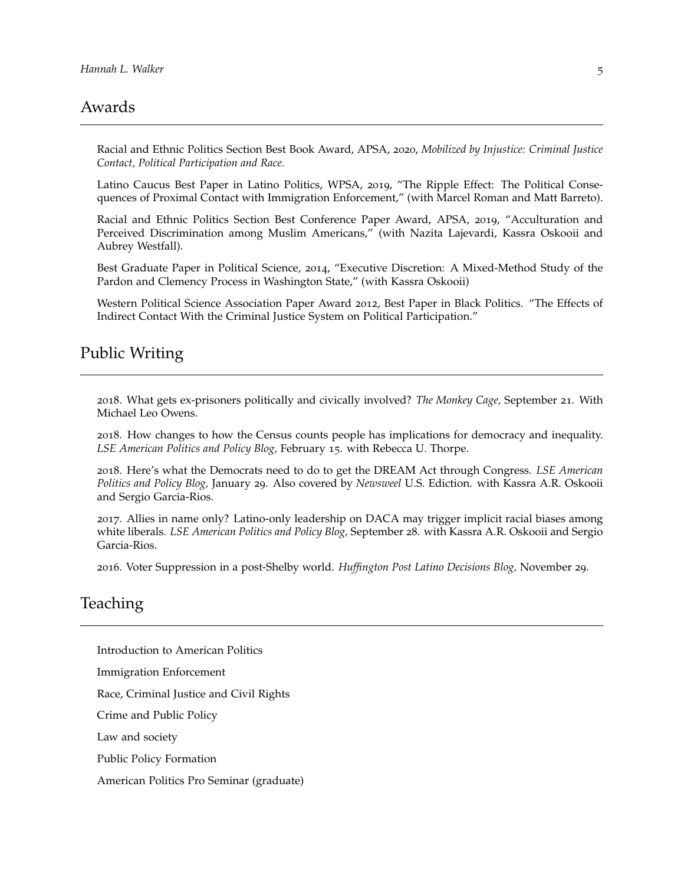#### Awards

Racial and Ethnic Politics Section Best Book Award, APSA, 2020, *Mobilized by Injustice: Criminal Justice Contact, Political Participation and Race.*

Latino Caucus Best Paper in Latino Politics, WPSA, 2019, "The Ripple Effect: The Political Consequences of Proximal Contact with Immigration Enforcement," (with Marcel Roman and Matt Barreto).

Racial and Ethnic Politics Section Best Conference Paper Award, APSA, 2019, "Acculturation and Perceived Discrimination among Muslim Americans," (with Nazita Lajevardi, Kassra Oskooii and Aubrey Westfall).

Best Graduate Paper in Political Science, 2014, "Executive Discretion: A Mixed-Method Study of the Pardon and Clemency Process in Washington State," (with Kassra Oskooii)

Western Political Science Association Paper Award 2012, Best Paper in Black Politics. "The Effects of Indirect Contact With the Criminal Justice System on Political Participation."

#### Public Writing

2018. What gets ex-prisoners politically and civically involved? *The Monkey Cage,* September 21. With Michael Leo Owens.

2018. How changes to how the Census counts people has implications for democracy and inequality. *LSE American Politics and Policy Blog,* February 15. with Rebecca U. Thorpe.

2018. Here's what the Democrats need to do to get the DREAM Act through Congress. *LSE American Politics and Policy Blog,* January 29. Also covered by *Newsweel* U.S. Ediction. with Kassra A.R. Oskooii and Sergio Garcia-Rios.

2017. Allies in name only? Latino-only leadership on DACA may trigger implicit racial biases among white liberals. *LSE American Politics and Policy Blog,* September 28. with Kassra A.R. Oskooii and Sergio Garcia-Rios.

2016. Voter Suppression in a post-Shelby world. *Huffington Post Latino Decisions Blog,* November 29.

#### Teaching

Introduction to American Politics

Immigration Enforcement

Race, Criminal Justice and Civil Rights

Crime and Public Policy

Law and society

Public Policy Formation

American Politics Pro Seminar (graduate)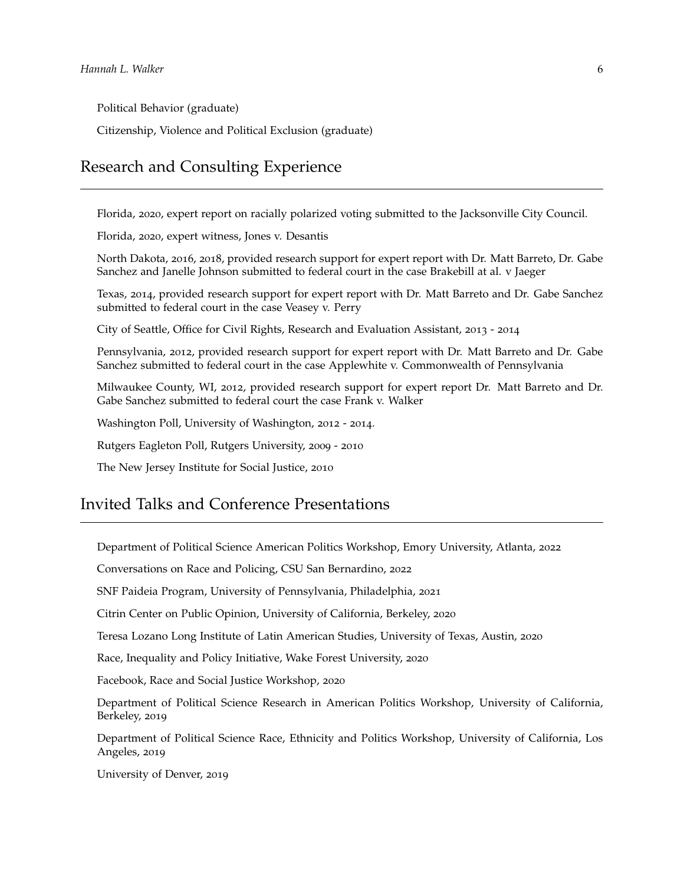Political Behavior (graduate)

Citizenship, Violence and Political Exclusion (graduate)

## Research and Consulting Experience

Florida, 2020, expert report on racially polarized voting submitted to the Jacksonville City Council.

Florida, 2020, expert witness, Jones v. Desantis

North Dakota, 2016, 2018, provided research support for expert report with Dr. Matt Barreto, Dr. Gabe Sanchez and Janelle Johnson submitted to federal court in the case Brakebill at al. v Jaeger

Texas, 2014, provided research support for expert report with Dr. Matt Barreto and Dr. Gabe Sanchez submitted to federal court in the case Veasey v. Perry

City of Seattle, Office for Civil Rights, Research and Evaluation Assistant, 2013 - 2014

Pennsylvania, 2012, provided research support for expert report with Dr. Matt Barreto and Dr. Gabe Sanchez submitted to federal court in the case Applewhite v. Commonwealth of Pennsylvania

Milwaukee County, WI, 2012, provided research support for expert report Dr. Matt Barreto and Dr. Gabe Sanchez submitted to federal court the case Frank v. Walker

Washington Poll, University of Washington, 2012 - 2014.

Rutgers Eagleton Poll, Rutgers University, 2009 - 2010

The New Jersey Institute for Social Justice, 2010

## Invited Talks and Conference Presentations

Department of Political Science American Politics Workshop, Emory University, Atlanta, 2022

Conversations on Race and Policing, CSU San Bernardino, 2022

SNF Paideia Program, University of Pennsylvania, Philadelphia, 2021

Citrin Center on Public Opinion, University of California, Berkeley, 2020

Teresa Lozano Long Institute of Latin American Studies, University of Texas, Austin, 2020

Race, Inequality and Policy Initiative, Wake Forest University, 2020

Facebook, Race and Social Justice Workshop, 2020

Department of Political Science Research in American Politics Workshop, University of California, Berkeley, 2019

Department of Political Science Race, Ethnicity and Politics Workshop, University of California, Los Angeles, 2019

University of Denver, 2019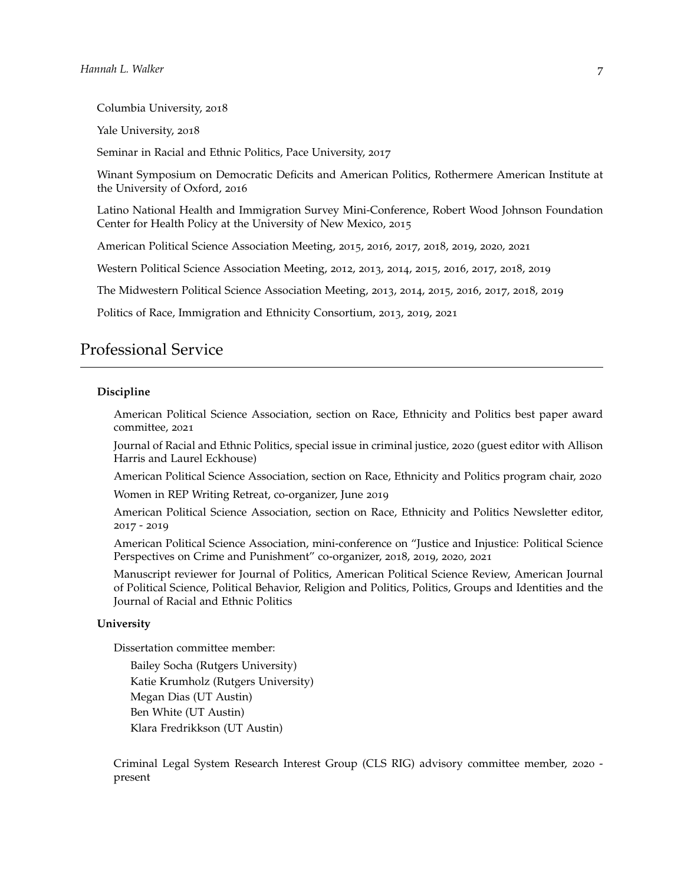Columbia University, 2018

Yale University, 2018

Seminar in Racial and Ethnic Politics, Pace University, 2017

Winant Symposium on Democratic Deficits and American Politics, Rothermere American Institute at the University of Oxford, 2016

Latino National Health and Immigration Survey Mini-Conference, Robert Wood Johnson Foundation Center for Health Policy at the University of New Mexico, 2015

American Political Science Association Meeting, 2015, 2016, 2017, 2018, 2019, 2020, 2021

Western Political Science Association Meeting, 2012, 2013, 2014, 2015, 2016, 2017, 2018, 2019

The Midwestern Political Science Association Meeting, 2013, 2014, 2015, 2016, 2017, 2018, 2019

Politics of Race, Immigration and Ethnicity Consortium, 2013, 2019, 2021

#### Professional Service

#### **Discipline**

American Political Science Association, section on Race, Ethnicity and Politics best paper award committee, 2021

Journal of Racial and Ethnic Politics, special issue in criminal justice, 2020 (guest editor with Allison Harris and Laurel Eckhouse)

American Political Science Association, section on Race, Ethnicity and Politics program chair, 2020 Women in REP Writing Retreat, co-organizer, June 2019

American Political Science Association, section on Race, Ethnicity and Politics Newsletter editor, 2017 - 2019

American Political Science Association, mini-conference on "Justice and Injustice: Political Science Perspectives on Crime and Punishment" co-organizer, 2018, 2019, 2020, 2021

Manuscript reviewer for Journal of Politics, American Political Science Review, American Journal of Political Science, Political Behavior, Religion and Politics, Politics, Groups and Identities and the Journal of Racial and Ethnic Politics

#### **University**

Dissertation committee member:

Bailey Socha (Rutgers University) Katie Krumholz (Rutgers University) Megan Dias (UT Austin) Ben White (UT Austin) Klara Fredrikkson (UT Austin)

Criminal Legal System Research Interest Group (CLS RIG) advisory committee member, 2020 present